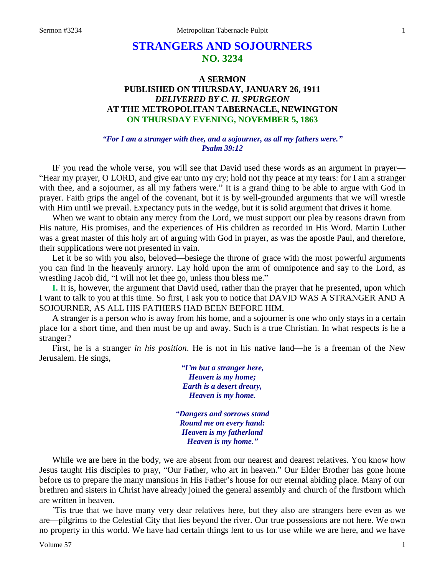# **STRANGERS AND SOJOURNERS NO. 3234**

## **A SERMON PUBLISHED ON THURSDAY, JANUARY 26, 1911** *DELIVERED BY C. H. SPURGEON* **AT THE METROPOLITAN TABERNACLE, NEWINGTON ON THURSDAY EVENING, NOVEMBER 5, 1863**

#### *"For I am a stranger with thee, and a sojourner, as all my fathers were." Psalm 39:12*

IF you read the whole verse, you will see that David used these words as an argument in prayer— "Hear my prayer, O LORD, and give ear unto my cry; hold not thy peace at my tears: for I am a stranger with thee, and a sojourner, as all my fathers were." It is a grand thing to be able to argue with God in prayer. Faith grips the angel of the covenant, but it is by well-grounded arguments that we will wrestle with Him until we prevail. Expectancy puts in the wedge, but it is solid argument that drives it home.

When we want to obtain any mercy from the Lord, we must support our plea by reasons drawn from His nature, His promises, and the experiences of His children as recorded in His Word. Martin Luther was a great master of this holy art of arguing with God in prayer, as was the apostle Paul, and therefore, their supplications were not presented in vain.

Let it be so with you also, beloved—besiege the throne of grace with the most powerful arguments you can find in the heavenly armory. Lay hold upon the arm of omnipotence and say to the Lord, as wrestling Jacob did, "I will not let thee go, unless thou bless me."

**I.** It is, however, the argument that David used, rather than the prayer that he presented, upon which I want to talk to you at this time. So first, I ask you to notice that DAVID WAS A STRANGER AND A SOJOURNER, AS ALL HIS FATHERS HAD BEEN BEFORE HIM.

A stranger is a person who is away from his home, and a sojourner is one who only stays in a certain place for a short time, and then must be up and away. Such is a true Christian. In what respects is he a stranger?

First, he is a stranger *in his position*. He is not in his native land—he is a freeman of the New Jerusalem. He sings,

> *"I'm but a stranger here, Heaven is my home; Earth is a desert dreary, Heaven is my home.*

*"Dangers and sorrows stand Round me on every hand: Heaven is my fatherland Heaven is my home."*

While we are here in the body, we are absent from our nearest and dearest relatives. You know how Jesus taught His disciples to pray, "Our Father, who art in heaven." Our Elder Brother has gone home before us to prepare the many mansions in His Father's house for our eternal abiding place. Many of our brethren and sisters in Christ have already joined the general assembly and church of the firstborn which are written in heaven.

'Tis true that we have many very dear relatives here, but they also are strangers here even as we are—pilgrims to the Celestial City that lies beyond the river. Our true possessions are not here. We own no property in this world. We have had certain things lent to us for use while we are here, and we have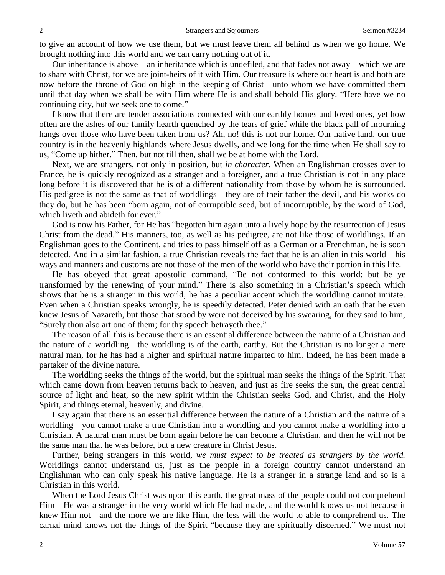to give an account of how we use them, but we must leave them all behind us when we go home. We brought nothing into this world and we can carry nothing out of it.

Our inheritance is above—an inheritance which is undefiled, and that fades not away—which we are to share with Christ, for we are joint-heirs of it with Him. Our treasure is where our heart is and both are now before the throne of God on high in the keeping of Christ—unto whom we have committed them until that day when we shall be with Him where He is and shall behold His glory. "Here have we no continuing city, but we seek one to come."

I know that there are tender associations connected with our earthly homes and loved ones, yet how often are the ashes of our family hearth quenched by the tears of grief while the black pall of mourning hangs over those who have been taken from us? Ah, no! this is not our home. Our native land, our true country is in the heavenly highlands where Jesus dwells, and we long for the time when He shall say to us, "Come up hither." Then, but not till then, shall we be at home with the Lord.

Next, we are strangers, not only in position, but *in character*. When an Englishman crosses over to France, he is quickly recognized as a stranger and a foreigner, and a true Christian is not in any place long before it is discovered that he is of a different nationality from those by whom he is surrounded. His pedigree is not the same as that of worldlings—they are of their father the devil, and his works do they do, but he has been "born again, not of corruptible seed, but of incorruptible, by the word of God, which liveth and abideth for ever."

God is now his Father, for He has "begotten him again unto a lively hope by the resurrection of Jesus Christ from the dead." His manners, too, as well as his pedigree, are not like those of worldlings. If an Englishman goes to the Continent, and tries to pass himself off as a German or a Frenchman, he is soon detected. And in a similar fashion, a true Christian reveals the fact that he is an alien in this world—his ways and manners and customs are not those of the men of the world who have their portion in this life.

He has obeyed that great apostolic command, "Be not conformed to this world: but be ye transformed by the renewing of your mind." There is also something in a Christian's speech which shows that he is a stranger in this world, he has a peculiar accent which the worldling cannot imitate. Even when a Christian speaks wrongly, he is speedily detected. Peter denied with an oath that he even knew Jesus of Nazareth, but those that stood by were not deceived by his swearing, for they said to him, "Surely thou also art one of them; for thy speech betrayeth thee."

The reason of all this is because there is an essential difference between the nature of a Christian and the nature of a worldling—the worldling is of the earth, earthy. But the Christian is no longer a mere natural man, for he has had a higher and spiritual nature imparted to him. Indeed, he has been made a partaker of the divine nature.

The worldling seeks the things of the world, but the spiritual man seeks the things of the Spirit. That which came down from heaven returns back to heaven, and just as fire seeks the sun, the great central source of light and heat, so the new spirit within the Christian seeks God, and Christ, and the Holy Spirit, and things eternal, heavenly, and divine.

I say again that there is an essential difference between the nature of a Christian and the nature of a worldling—you cannot make a true Christian into a worldling and you cannot make a worldling into a Christian. A natural man must be born again before he can become a Christian, and then he will not be the same man that he was before, but a new creature in Christ Jesus.

Further, being strangers in this world, *we must expect to be treated as strangers by the world.*  Worldlings cannot understand us, just as the people in a foreign country cannot understand an Englishman who can only speak his native language. He is a stranger in a strange land and so is a Christian in this world.

When the Lord Jesus Christ was upon this earth, the great mass of the people could not comprehend Him—He was a stranger in the very world which He had made, and the world knows us not because it knew Him not—and the more we are like Him, the less will the world to able to comprehend us. The carnal mind knows not the things of the Spirit "because they are spiritually discerned." We must not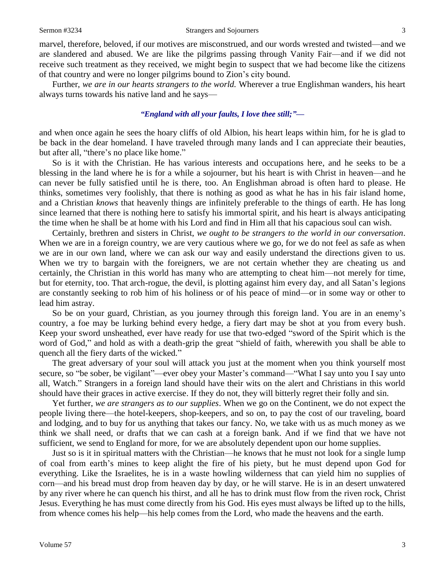marvel, therefore, beloved, if our motives are misconstrued, and our words wrested and twisted—and we are slandered and abused. We are like the pilgrims passing through Vanity Fair—and if we did not receive such treatment as they received, we might begin to suspect that we had become like the citizens of that country and were no longer pilgrims bound to Zion's city bound.

Further, *we are in our hearts strangers to the world.* Wherever a true Englishman wanders, his heart always turns towards his native land and he says—

## *"England with all your faults, I love thee still;"—*

and when once again he sees the hoary cliffs of old Albion, his heart leaps within him, for he is glad to be back in the dear homeland. I have traveled through many lands and I can appreciate their beauties, but after all, "there's no place like home."

So is it with the Christian. He has various interests and occupations here, and he seeks to be a blessing in the land where he is for a while a sojourner, but his heart is with Christ in heaven—and he can never be fully satisfied until he is there, too. An Englishman abroad is often hard to please. He thinks, sometimes very foolishly, that there is nothing as good as what he has in his fair island home, and a Christian *knows* that heavenly things are infinitely preferable to the things of earth. He has long since learned that there is nothing here to satisfy his immortal spirit, and his heart is always anticipating the time when he shall be at home with his Lord and find in Him all that his capacious soul can wish.

Certainly, brethren and sisters in Christ, *we ought to be strangers to the world in our conversation*. When we are in a foreign country, we are very cautious where we go, for we do not feel as safe as when we are in our own land, where we can ask our way and easily understand the directions given to us. When we try to bargain with the foreigners, we are not certain whether they are cheating us and certainly, the Christian in this world has many who are attempting to cheat him—not merely for time, but for eternity, too. That arch-rogue, the devil, is plotting against him every day, and all Satan's legions are constantly seeking to rob him of his holiness or of his peace of mind—or in some way or other to lead him astray.

So be on your guard, Christian, as you journey through this foreign land. You are in an enemy's country, a foe may be lurking behind every hedge, a fiery dart may be shot at you from every bush. Keep your sword unsheathed, ever have ready for use that two-edged "sword of the Spirit which is the word of God," and hold as with a death-grip the great "shield of faith, wherewith you shall be able to quench all the fiery darts of the wicked."

The great adversary of your soul will attack you just at the moment when you think yourself most secure, so "be sober, be vigilant"—ever obey your Master's command—"What I say unto you I say unto all, Watch." Strangers in a foreign land should have their wits on the alert and Christians in this world should have their graces in active exercise. If they do not, they will bitterly regret their folly and sin.

Yet further, *we are strangers as to our supplies*. When we go on the Continent, we do not expect the people living there—the hotel-keepers, shop-keepers, and so on, to pay the cost of our traveling, board and lodging, and to buy for us anything that takes our fancy. No, we take with us as much money as we think we shall need, or drafts that we can cash at a foreign bank. And if we find that we have not sufficient, we send to England for more, for we are absolutely dependent upon our home supplies.

Just so is it in spiritual matters with the Christian—he knows that he must not look for a single lump of coal from earth's mines to keep alight the fire of his piety, but he must depend upon God for everything. Like the Israelites, he is in a waste howling wilderness that can yield him no supplies of corn—and his bread must drop from heaven day by day, or he will starve. He is in an desert unwatered by any river where he can quench his thirst, and all he has to drink must flow from the riven rock, Christ Jesus. Everything he has must come directly from his God. His eyes must always be lifted up to the hills, from whence comes his help—his help comes from the Lord, who made the heavens and the earth.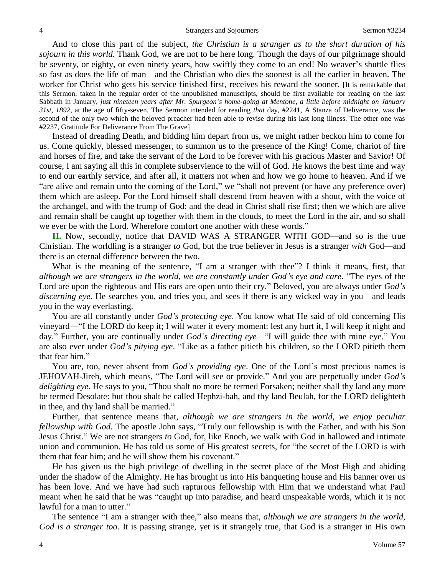And to close this part of the subject, *the Christian is a stranger as to the short duration of his sojourn in this world.* Thank God, we are not to be here long. Though the days of our pilgrimage should be seventy, or eighty, or even ninety years, how swiftly they come to an end! No weaver's shuttle flies so fast as does the life of man—and the Christian who dies the soonest is all the earlier in heaven. The worker for Christ who gets his service finished first, receives his reward the sooner. [It is remarkable that this Sermon, taken in the regular order of the unpublished manuscripts, should be first available for reading on the last Sabbath in January, *just nineteen years after Mr. Spurgeon's home-going at Mentone, a little before midnight on January 31st, 1892*, at the age of fifty-seven. The Sermon intended for reading *that* day, #2241, A Stanza of Deliverance, was the second of the only two which the beloved preacher had been able to revise during his last long illness. The other one was #2237, Gratitude For Deliverance From The Grave]

Instead of dreading Death, and bidding him depart from us, we might rather beckon him to come for us. Come quickly, blessed messenger, to summon us to the presence of the King! Come, chariot of fire and horses of fire, and take the servant of the Lord to be forever with his gracious Master and Savior! Of course, I am saying all this in complete subservience to the will of God. He knows the best time and way to end our earthly service, and after all, it matters not when and how we go home to heaven. And if we "are alive and remain unto the coming of the Lord," we "shall not prevent (or have any preference over) them which are asleep. For the Lord himself shall descend from heaven with a shout, with the voice of the archangel, and with the trump of God: and the dead in Christ shall rise first; then we which are alive and remain shall be caught up together with them in the clouds, to meet the Lord in the air, and so shall we ever be with the Lord. Wherefore comfort one another with these words."

**II.** Now, secondly, notice that DAVID WAS A STRANGER WITH GOD—and so is the true Christian. The worldling is a stranger *to* God, but the true believer in Jesus is a stranger *with* God—and there is an eternal difference between the two.

What is the meaning of the sentence, "I am a stranger with thee"? I think it means, first, that *although we are strangers in the world, we are constantly under God's eye and care*. "The eyes of the Lord are upon the righteous and His ears are open unto their cry." Beloved, you are always under *God's discerning eye.* He searches you, and tries you, and sees if there is any wicked way in you—and leads you in the way everlasting.

You are all constantly under *God's protecting eye*. You know what He said of old concerning His vineyard—"I the LORD do keep it; I will water it every moment: lest any hurt it, I will keep it night and day." Further, you are continually under *God's directing eye—*"I will guide thee with mine eye." You are also ever under *God's pitying eye*. "Like as a father pitieth his children, so the LORD pitieth them that fear him."

You are, too, never absent from *God's providing eye*. One of the Lord's most precious names is JEHOVAH-Jireh, which means, "The Lord will see or provide." And you are perpetually under *God's delighting eye*. He says to you, "Thou shalt no more be termed Forsaken; neither shall thy land any more be termed Desolate: but thou shalt be called Hephzi-bah, and thy land Beulah, for the LORD delighteth in thee, and thy land shall be married."

Further, that sentence means that, *although we are strangers in the world, we enjoy peculiar fellowship with God.* The apostle John says, "Truly our fellowship is with the Father, and with his Son Jesus Christ." We are not strangers *to* God, for, like Enoch, we walk with God in hallowed and intimate union and communion. He has told us some of His greatest secrets, for "the secret of the LORD is with them that fear him; and he will show them his covenant."

He has given us the high privilege of dwelling in the secret place of the Most High and abiding under the shadow of the Almighty. He has brought us into His banqueting house and His banner over us has been love. And we have had such rapturous fellowship with Him that we understand what Paul meant when he said that he was "caught up into paradise, and heard unspeakable words, which it is not lawful for a man to utter."

The sentence "I am a stranger with thee," also means that, *although we are strangers in the world, God is a stranger too*. It is passing strange, yet is it strangely true, that God is a stranger in His own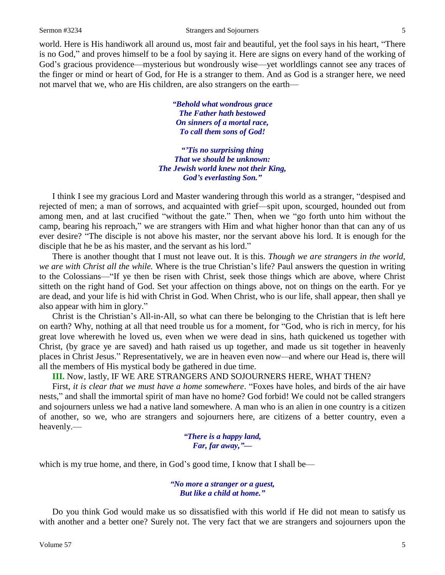world. Here is His handiwork all around us, most fair and beautiful, yet the fool says in his heart, "There is no God," and proves himself to be a fool by saying it. Here are signs on every hand of the working of God's gracious providence—mysterious but wondrously wise—yet worldlings cannot see any traces of the finger or mind or heart of God, for He is a stranger to them. And as God is a stranger here, we need not marvel that we, who are His children, are also strangers on the earth—

> *"Behold what wondrous grace The Father hath bestowed On sinners of a mortal race, To call them sons of God!*

*"'Tis no surprising thing That we should be unknown: The Jewish world knew not their King, God's everlasting Son."*

I think I see my gracious Lord and Master wandering through this world as a stranger, "despised and rejected of men; a man of sorrows, and acquainted with grief—spit upon, scourged, hounded out from among men, and at last crucified "without the gate." Then, when we "go forth unto him without the camp, bearing his reproach," we are strangers with Him and what higher honor than that can any of us ever desire? "The disciple is not above his master, nor the servant above his lord. It is enough for the disciple that he be as his master, and the servant as his lord."

There is another thought that I must not leave out. It is this. *Though we are strangers in the world, we are with Christ all the while.* Where is the true Christian's life? Paul answers the question in writing to the Colossians—"If ye then be risen with Christ, seek those things which are above, where Christ sitteth on the right hand of God. Set your affection on things above, not on things on the earth. For ye are dead, and your life is hid with Christ in God. When Christ, who is our life, shall appear, then shall ye also appear with him in glory."

Christ is the Christian's All-in-All, so what can there be belonging to the Christian that is left here on earth? Why, nothing at all that need trouble us for a moment, for "God, who is rich in mercy, for his great love wherewith he loved us, even when we were dead in sins, hath quickened us together with Christ, (by grace ye are saved) and hath raised us up together, and made us sit together in heavenly places in Christ Jesus." Representatively, we are in heaven even now*—*and where our Head is, there will all the members of His mystical body be gathered in due time.

**III.** Now, lastly, IF WE ARE STRANGERS AND SOJOURNERS HERE, WHAT THEN?

First, *it is clear that we must have a home somewhere*. "Foxes have holes, and birds of the air have nests," and shall the immortal spirit of man have no home? God forbid! We could not be called strangers and sojourners unless we had a native land somewhere. A man who is an alien in one country is a citizen of another, so we, who are strangers and sojourners here, are citizens of a better country, even a heavenly.—

> *"There is a happy land, Far, far away,"—*

which is my true home, and there, in God's good time, I know that I shall be—

*"No more a stranger or a guest, But like a child at home."*

Do you think God would make us so dissatisfied with this world if He did not mean to satisfy us with another and a better one? Surely not. The very fact that we are strangers and sojourners upon the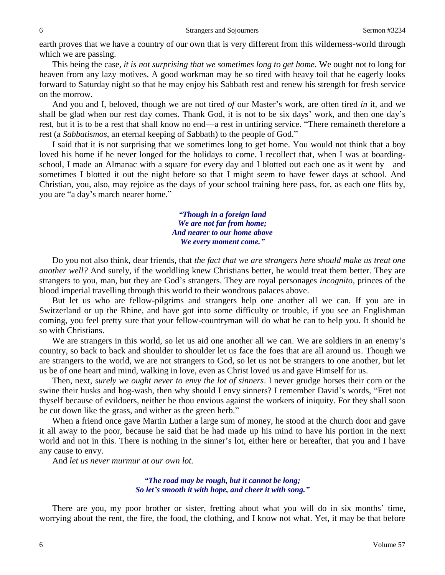earth proves that we have a country of our own that is very different from this wilderness-world through which we are passing.

This being the case, *it is not surprising that we sometimes long to get home*. We ought not to long for heaven from any lazy motives. A good workman may be so tired with heavy toil that he eagerly looks forward to Saturday night so that he may enjoy his Sabbath rest and renew his strength for fresh service on the morrow.

And you and I, beloved, though we are not tired *of* our Master's work, are often tired *in* it, and we shall be glad when our rest day comes. Thank God, it is not to be six days' work, and then one day's rest, but it is to be a rest that shall know no end—a rest in untiring service. "There remaineth therefore a rest (a *Sabbatismos*, an eternal keeping of Sabbath) to the people of God."

I said that it is not surprising that we sometimes long to get home. You would not think that a boy loved his home if he never longed for the holidays to come. I recollect that, when I was at boardingschool, I made an Almanac with a square for every day and I blotted out each one as it went by—and sometimes I blotted it out the night before so that I might seem to have fewer days at school. And Christian, you, also, may rejoice as the days of your school training here pass, for, as each one flits by, you are "a day's march nearer home."—

> *"Though in a foreign land We are not far from home; And nearer to our home above We every moment come."*

Do you not also think, dear friends, that *the fact that we are strangers here should make us treat one another well?* And surely, if the worldling knew Christians better, he would treat them better. They are strangers to you, man, but they are God's strangers. They are royal personages *incognito*, princes of the blood imperial travelling through this world to their wondrous palaces above.

But let us who are fellow-pilgrims and strangers help one another all we can. If you are in Switzerland or up the Rhine, and have got into some difficulty or trouble, if you see an Englishman coming, you feel pretty sure that your fellow-countryman will do what he can to help you. It should be so with Christians.

We are strangers in this world, so let us aid one another all we can. We are soldiers in an enemy's country, so back to back and shoulder to shoulder let us face the foes that are all around us. Though we are strangers to the world, we are not strangers to God, so let us not be strangers to one another, but let us be of one heart and mind, walking in love, even as Christ loved us and gave Himself for us.

Then, next, *surely we ought never to envy the lot of sinners*. I never grudge horses their corn or the swine their husks and hog-wash, then why should I envy sinners? I remember David's words, "Fret not thyself because of evildoers, neither be thou envious against the workers of iniquity. For they shall soon be cut down like the grass, and wither as the green herb."

When a friend once gave Martin Luther a large sum of money, he stood at the church door and gave it all away to the poor, because he said that he had made up his mind to have his portion in the next world and not in this. There is nothing in the sinner's lot, either here or hereafter, that you and I have any cause to envy.

And *let us never murmur at our own lot.*

*"The road may be rough, but it cannot be long; So let's smooth it with hope, and cheer it with song."*

There are you, my poor brother or sister, fretting about what you will do in six months' time, worrying about the rent, the fire, the food, the clothing, and I know not what. Yet, it may be that before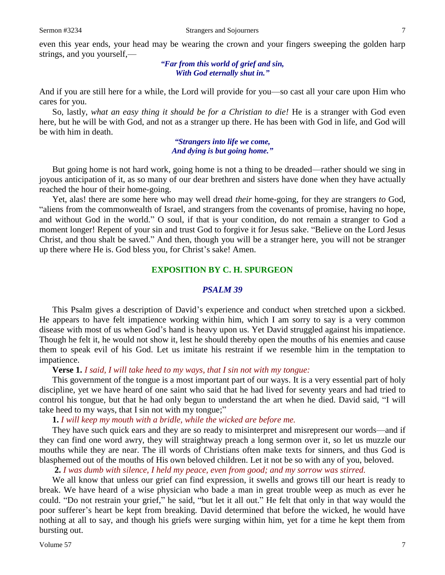even this year ends, your head may be wearing the crown and your fingers sweeping the golden harp strings, and you yourself,—

## *"Far from this world of grief and sin, With God eternally shut in."*

And if you are still here for a while, the Lord will provide for you—so cast all your care upon Him who cares for you.

So, lastly, *what an easy thing it should be for a Christian to die!* He is a stranger with God even here, but he will be with God, and not as a stranger up there. He has been with God in life, and God will be with him in death.

> *"Strangers into life we come, And dying is but going home."*

But going home is not hard work, going home is not a thing to be dreaded—rather should we sing in joyous anticipation of it, as so many of our dear brethren and sisters have done when they have actually reached the hour of their home-going.

Yet, alas! there are some here who may well dread *their* home-going, for they are strangers *to* God, "aliens from the commonwealth of Israel, and strangers from the covenants of promise, having no hope, and without God in the world." O soul, if that is your condition, do not remain a stranger to God a moment longer! Repent of your sin and trust God to forgive it for Jesus sake. "Believe on the Lord Jesus Christ, and thou shalt be saved." And then, though you will be a stranger here, you will not be stranger up there where He is. God bless you, for Christ's sake! Amen.

## **EXPOSITION BY C. H. SPURGEON**

#### *PSALM 39*

This Psalm gives a description of David's experience and conduct when stretched upon a sickbed. He appears to have felt impatience working within him, which I am sorry to say is a very common disease with most of us when God's hand is heavy upon us. Yet David struggled against his impatience. Though he felt it, he would not show it, lest he should thereby open the mouths of his enemies and cause them to speak evil of his God. Let us imitate his restraint if we resemble him in the temptation to impatience.

#### **Verse 1.** *I said, I will take heed to my ways, that I sin not with my tongue:*

This government of the tongue is a most important part of our ways. It is a very essential part of holy discipline, yet we have heard of one saint who said that he had lived for seventy years and had tried to control his tongue, but that he had only begun to understand the art when he died. David said, "I will take heed to my ways, that I sin not with my tongue;"

#### **1.** *I will keep my mouth with a bridle, while the wicked are before me.*

They have such quick ears and they are so ready to misinterpret and misrepresent our words—and if they can find one word awry, they will straightway preach a long sermon over it, so let us muzzle our mouths while they are near. The ill words of Christians often make texts for sinners, and thus God is blasphemed out of the mouths of His own beloved children. Let it not be so with any of you, beloved.

**2.** *I was dumb with silence, I held my peace, even from good; and my sorrow was stirred.* 

We all know that unless our grief can find expression, it swells and grows till our heart is ready to break. We have heard of a wise physician who bade a man in great trouble weep as much as ever he could. "Do not restrain your grief," he said, "but let it all out." He felt that only in that way would the poor sufferer's heart be kept from breaking. David determined that before the wicked, he would have nothing at all to say, and though his griefs were surging within him, yet for a time he kept them from bursting out.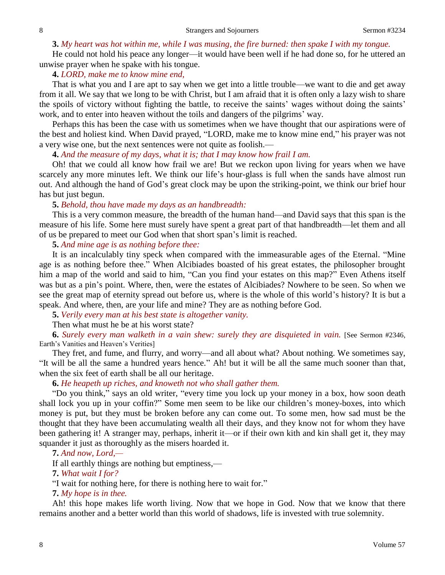## **3.** *My heart was hot within me, while I was musing, the fire burned: then spake I with my tongue.*

He could not hold his peace any longer—it would have been well if he had done so, for he uttered an unwise prayer when he spake with his tongue.

### **4.** *LORD, make me to know mine end,*

That is what you and I are apt to say when we get into a little trouble—we want to die and get away from it all. We say that we long to be with Christ, but I am afraid that it is often only a lazy wish to share the spoils of victory without fighting the battle, to receive the saints' wages without doing the saints' work, and to enter into heaven without the toils and dangers of the pilgrims' way.

Perhaps this has been the case with us sometimes when we have thought that our aspirations were of the best and holiest kind. When David prayed, "LORD, make me to know mine end," his prayer was not a very wise one, but the next sentences were not quite as foolish.—

**4.** *And the measure of my days, what it is; that I may know how frail I am.* 

Oh! that we could all know how frail we are! But we reckon upon living for years when we have scarcely any more minutes left. We think our life's hour-glass is full when the sands have almost run out. And although the hand of God's great clock may be upon the striking-point, we think our brief hour has but just begun.

#### **5.** *Behold, thou have made my days as an handbreadth:*

This is a very common measure, the breadth of the human hand—and David says that this span is the measure of his life. Some here must surely have spent a great part of that handbreadth—let them and all of us be prepared to meet our God when that short span's limit is reached.

### **5.** *And mine age is as nothing before thee:*

It is an incalculably tiny speck when compared with the immeasurable ages of the Eternal. "Mine age is as nothing before thee." When Alcibiades boasted of his great estates, the philosopher brought him a map of the world and said to him, "Can you find your estates on this map?" Even Athens itself was but as a pin's point. Where, then, were the estates of Alcibiades? Nowhere to be seen. So when we see the great map of eternity spread out before us, where is the whole of this world's history? It is but a speak. And where, then, are your life and mine? They are as nothing before God.

**5.** *Verily every man at his best state is altogether vanity.* 

Then what must he be at his worst state?

**6.** *Surely every man walketh in a vain shew: surely they are disquieted in vain.* [See Sermon #2346, Earth's Vanities and Heaven's Verities]

They fret, and fume, and flurry, and worry—and all about what? About nothing. We sometimes say, "It will be all the same a hundred years hence." Ah! but it will be all the same much sooner than that, when the six feet of earth shall be all our heritage.

## **6.** *He heapeth up riches, and knoweth not who shall gather them.*

"Do you think," says an old writer, "every time you lock up your money in a box, how soon death shall lock you up in your coffin?" Some men seem to be like our children's money-boxes, into which money is put, but they must be broken before any can come out. To some men, how sad must be the thought that they have been accumulating wealth all their days, and they know not for whom they have been gathering it! A stranger may, perhaps, inherit it—or if their own kith and kin shall get it, they may squander it just as thoroughly as the misers hoarded it.

**7.** *And now, Lord,—*

If all earthly things are nothing but emptiness,—

**7.** *What wait I for?*

"I wait for nothing here, for there is nothing here to wait for."

**7.** *My hope is in thee.* 

Ah! this hope makes life worth living. Now that we hope in God. Now that we know that there remains another and a better world than this world of shadows, life is invested with true solemnity.